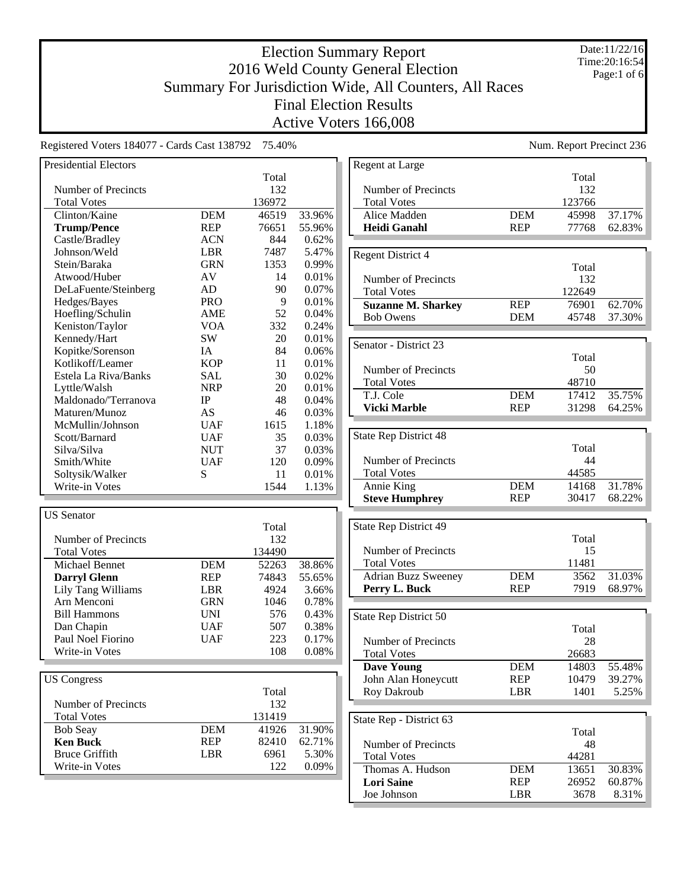#### Date:11/22/16 Time:20:16:54 Page:1 of 6

# Election Summary Report 2016 Weld County General Election Summary For Jurisdiction Wide, All Counters, All Races Final Election Results Active Voters 166,008

Registered Voters 184077 - Cards Cast 138792 75.40%

| <b>Presidential Electors</b> |            |        |        |
|------------------------------|------------|--------|--------|
|                              |            | Total  |        |
| Number of Precincts          |            | 132    |        |
| <b>Total Votes</b>           |            | 136972 |        |
| Clinton/Kaine                | <b>DEM</b> | 46519  | 33.96% |
| <b>Trump/Pence</b>           | <b>REP</b> | 76651  | 55.96% |
| Castle/Bradley               | <b>ACN</b> | 844    | 0.62%  |
| Johnson/Weld                 | <b>LBR</b> | 7487   | 5.47%  |
| Stein/Baraka                 | <b>GRN</b> | 1353   | 0.99%  |
| Atwood/Huber                 | AV         | 14     | 0.01%  |
| DeLaFuente/Steinberg         | AD         | 90     | 0.07%  |
| Hedges/Bayes                 | <b>PRO</b> | 9      | 0.01%  |
| Hoefling/Schulin             | AME        | 52     | 0.04%  |
| Keniston/Taylor              | <b>VOA</b> | 332    | 0.24%  |
| Kennedy/Hart                 | SW         | 20     | 0.01%  |
| Kopitke/Sorenson             | IA         | 84     | 0.06%  |
| Kotlikoff/Leamer             | <b>KOP</b> | 11     | 0.01%  |
| Estela La Riva/Banks         | <b>SAL</b> | 30     | 0.02%  |
| Lyttle/Walsh                 | <b>NRP</b> | 20     | 0.01%  |
| Maldonado/'Terranova         | IP         | 48     | 0.04%  |
| Maturen/Munoz                | AS         | 46     | 0.03%  |
| McMullin/Johnson             | <b>UAF</b> | 1615   | 1.18%  |
| Scott/Barnard                | <b>UAF</b> | 35     | 0.03%  |
| Silva/Silva                  | <b>NUT</b> | 37     | 0.03%  |
| Smith/White                  | <b>UAF</b> | 120    | 0.09%  |
| Soltysik/Walker              | S          | 11     | 0.01%  |
| Write-in Votes               |            | 1544   | 1.13%  |
|                              |            |        |        |
| <b>US</b> Senator            |            |        |        |
|                              |            | Total  |        |
| <b>Number of Precincts</b>   |            | 132    |        |
| <b>Total Votes</b>           |            | 134490 |        |
| <b>Michael Bennet</b>        | <b>DEM</b> | 52263  | 38.86% |
| <b>Darryl Glenn</b>          | <b>REP</b> | 74843  | 55.65% |
| Lily Tang Williams           | <b>LBR</b> | 4924   | 3.66%  |
| Arn Menconi                  | <b>GRN</b> | 1046   | 0.78%  |
| <b>Bill Hammons</b>          | <b>UNI</b> | 576    | 0.43%  |
| Dan Chapin                   | <b>UAF</b> | 507    | 0.38%  |
| Paul Noel Fiorino            | <b>UAF</b> | 223    | 0.17%  |
| Write-in Votes               |            | 108    | 0.08%  |
|                              |            |        |        |
| <b>US Congress</b>           |            |        |        |
|                              |            | Total  |        |
| Number of Precincts          |            | 132    |        |
| <b>Total Votes</b>           |            | 131419 |        |
| <b>Bob Seay</b>              |            | 41926  | 31.90% |
|                              | <b>DEM</b> |        |        |
| <b>Ken Buck</b>              | <b>REP</b> | 82410  | 62.71% |
| <b>Bruce Griffith</b>        | LBR        | 6961   | 5.30%  |
| Write-in Votes               |            | 122    | 0.09%  |

|                                             |            | Num. Report Precinct 236 |        |
|---------------------------------------------|------------|--------------------------|--------|
| Regent at Large                             |            |                          |        |
|                                             |            | Total                    |        |
| Number of Precincts                         |            | 132                      |        |
| <b>Total Votes</b>                          |            | 123766                   |        |
| Alice Madden                                | <b>DEM</b> | 45998                    | 37.17% |
| <b>Heidi Ganahl</b>                         | <b>REP</b> | 77768                    | 62.83% |
|                                             |            |                          |        |
| <b>Regent District 4</b>                    |            |                          |        |
| Number of Precincts                         |            | Total<br>132             |        |
| <b>Total Votes</b>                          |            | 122649                   |        |
| <b>Suzanne M. Sharkey</b>                   | <b>REP</b> | 76901                    | 62.70% |
| <b>Bob Owens</b>                            | DEM        | 45748                    | 37.30% |
|                                             |            |                          |        |
| Senator - District 23                       |            |                          |        |
|                                             |            | Total                    |        |
| Number of Precincts                         |            | 50                       |        |
| <b>Total Votes</b>                          |            | 48710                    |        |
| T.J. Cole                                   | <b>DEM</b> | 17412                    | 35.75% |
| <b>Vicki Marble</b>                         | <b>REP</b> | 31298                    | 64.25% |
|                                             |            |                          |        |
| State Rep District 48                       |            |                          |        |
|                                             |            | Total                    |        |
| Number of Precincts                         |            | 44                       |        |
| <b>Total Votes</b>                          |            | 44585                    |        |
| Annie King                                  | <b>DEM</b> | 14168                    | 31.78% |
| <b>Steve Humphrey</b>                       | <b>REP</b> | 30417                    | 68.22% |
|                                             |            |                          |        |
| State Rep District 49                       |            |                          |        |
|                                             |            | Total                    |        |
| Number of Precincts                         |            | 15<br>11481              |        |
| <b>Total Votes</b>                          | <b>DEM</b> | 3562                     | 31.03% |
| <b>Adrian Buzz Sweeney</b><br>Perry L. Buck | <b>REP</b> | 7919                     | 68.97% |
|                                             |            |                          |        |
| State Rep District 50                       |            |                          |        |
|                                             |            | Total                    |        |
| Number of Precincts                         |            | 28                       |        |
| <b>Total Votes</b>                          |            | 26683                    |        |
| <b>Dave Young</b>                           | <b>DEM</b> | 14803                    | 55.48% |
| John Alan Honeycutt                         | REP        | 10479                    | 39.27% |
| Roy Dakroub                                 | LBR        | 1401                     | 5.25%  |
|                                             |            |                          |        |
| State Rep - District 63                     |            |                          |        |
|                                             |            | Total                    |        |
| Number of Precincts                         |            | 48                       |        |
| <b>Total Votes</b>                          |            | 44281                    |        |
| Thomas A. Hudson                            | DEM        | 13651                    | 30.83% |
| <b>Lori Saine</b>                           | REP        | 26952                    | 60.87% |
| Joe Johnson                                 | LBR        | 3678                     | 8.31%  |
|                                             |            |                          |        |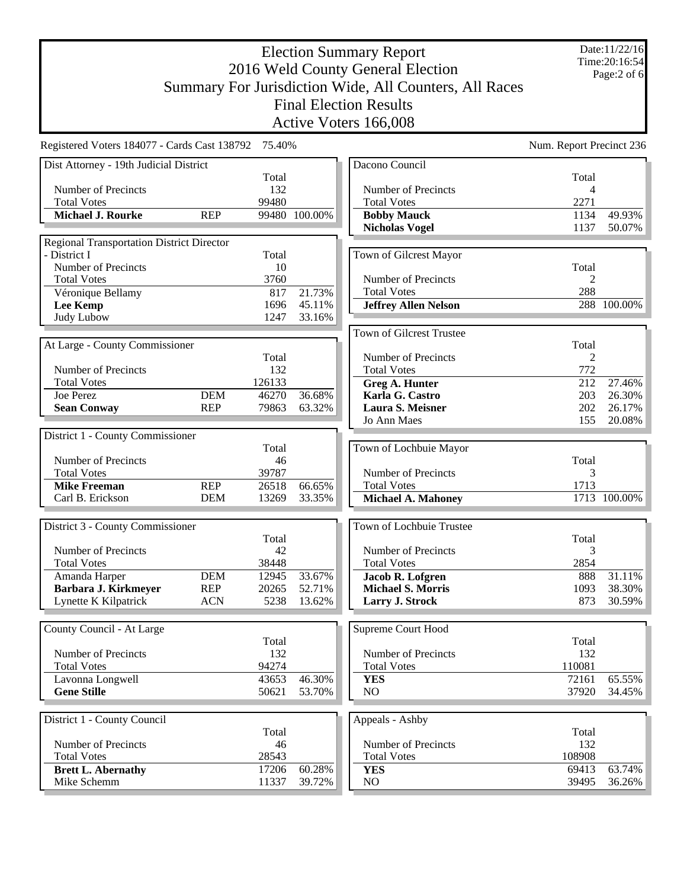Date:11/22/16 Time:20:16:54 Page:2 of 6

|                                                  |            |        |               | Active Voters 166,008           |                          |              |
|--------------------------------------------------|------------|--------|---------------|---------------------------------|--------------------------|--------------|
| Registered Voters 184077 - Cards Cast 138792     |            | 75.40% |               |                                 | Num. Report Precinct 236 |              |
| Dist Attorney - 19th Judicial District           |            |        |               | Dacono Council                  |                          |              |
|                                                  |            | Total  |               |                                 | Total                    |              |
| Number of Precincts                              |            | 132    |               | Number of Precincts             | 4                        |              |
| <b>Total Votes</b>                               |            | 99480  |               | <b>Total Votes</b>              | 2271                     |              |
| <b>Michael J. Rourke</b>                         | <b>REP</b> |        | 99480 100.00% | <b>Bobby Mauck</b>              | 1134                     | 49.93%       |
|                                                  |            |        |               | <b>Nicholas Vogel</b>           | 1137                     | 50.07%       |
| <b>Regional Transportation District Director</b> |            |        |               |                                 |                          |              |
| - District I                                     |            | Total  |               | Town of Gilcrest Mayor          |                          |              |
| Number of Precincts                              |            | 10     |               |                                 | Total                    |              |
| <b>Total Votes</b>                               |            | 3760   |               | Number of Precincts             | $\overline{c}$           |              |
| Véronique Bellamy                                |            | 817    | 21.73%        | <b>Total Votes</b>              | 288                      |              |
| <b>Lee Kemp</b>                                  |            | 1696   | 45.11%        | <b>Jeffrey Allen Nelson</b>     |                          | 288 100.00%  |
| <b>Judy Lubow</b>                                |            | 1247   | 33.16%        |                                 |                          |              |
|                                                  |            |        |               | <b>Town of Gilcrest Trustee</b> |                          |              |
| At Large - County Commissioner                   |            |        |               |                                 | Total                    |              |
|                                                  |            | Total  |               | Number of Precincts             | $\overline{c}$           |              |
| Number of Precincts                              |            | 132    |               | <b>Total Votes</b>              | 772                      |              |
| <b>Total Votes</b>                               |            | 126133 |               | <b>Greg A. Hunter</b>           | 212                      | 27.46%       |
| Joe Perez                                        | <b>DEM</b> | 46270  | 36.68%        | Karla G. Castro                 | 203                      | 26.30%       |
| <b>Sean Conway</b>                               | <b>REP</b> | 79863  | 63.32%        | Laura S. Meisner                | 202                      | 26.17%       |
|                                                  |            |        |               | Jo Ann Maes                     | 155                      | 20.08%       |
| District 1 - County Commissioner                 |            |        |               |                                 |                          |              |
|                                                  |            | Total  |               | Town of Lochbuie Mayor          |                          |              |
| Number of Precincts                              |            | 46     |               |                                 | Total                    |              |
| <b>Total Votes</b>                               |            | 39787  |               | Number of Precincts             | 3                        |              |
| <b>Mike Freeman</b>                              | <b>REP</b> | 26518  | 66.65%        | <b>Total Votes</b>              | 1713                     |              |
| Carl B. Erickson                                 | <b>DEM</b> | 13269  | 33.35%        | <b>Michael A. Mahoney</b>       |                          | 1713 100.00% |
|                                                  |            |        |               |                                 |                          |              |
| District 3 - County Commissioner                 |            |        |               | Town of Lochbuie Trustee        |                          |              |
|                                                  |            | Total  |               |                                 | Total                    |              |
| Number of Precincts                              |            | 42     |               | Number of Precincts             | 3                        |              |
| <b>Total Votes</b>                               |            | 38448  |               | <b>Total Votes</b>              | 2854                     |              |
| Amanda Harper                                    | <b>DEM</b> | 12945  | 33.67%        | Jacob R. Lofgren                | 888                      | 31.11%       |
| Barbara J. Kirkmeyer                             | <b>REP</b> | 20265  | 52.71%        | <b>Michael S. Morris</b>        | 1093                     | 38.30%       |
| Lynette K Kilpatrick                             | <b>ACN</b> | 5238   | 13.62%        | Larry J. Strock                 | 873                      | 30.59%       |
|                                                  |            |        |               |                                 |                          |              |
| County Council - At Large                        |            |        |               | Supreme Court Hood              |                          |              |
|                                                  |            | Total  |               |                                 | Total                    |              |
| Number of Precincts                              |            | 132    |               | Number of Precincts             | 132                      |              |
| <b>Total Votes</b>                               |            | 94274  |               | <b>Total Votes</b>              | 110081                   |              |
| Lavonna Longwell                                 |            | 43653  | 46.30%        | <b>YES</b>                      | 72161                    | 65.55%       |
| <b>Gene Stille</b>                               |            | 50621  | 53.70%        | N <sub>O</sub>                  | 37920                    | 34.45%       |

| District 1 - County Council |       |        | Appeals - Ashby     |        |        |
|-----------------------------|-------|--------|---------------------|--------|--------|
|                             | Total |        |                     | Total  |        |
| Number of Precincts         | 46    |        | Number of Precincts | 132    |        |
| <b>Total Votes</b>          | 28543 |        | <b>Total Votes</b>  | 108908 |        |
| <b>Brett L. Abernathy</b>   | 17206 | 60.28% | <b>YES</b>          | 69413  | 63.74% |
| Mike Schemm                 | 11337 | 39.72% | NO                  | 39495  | 36.26% |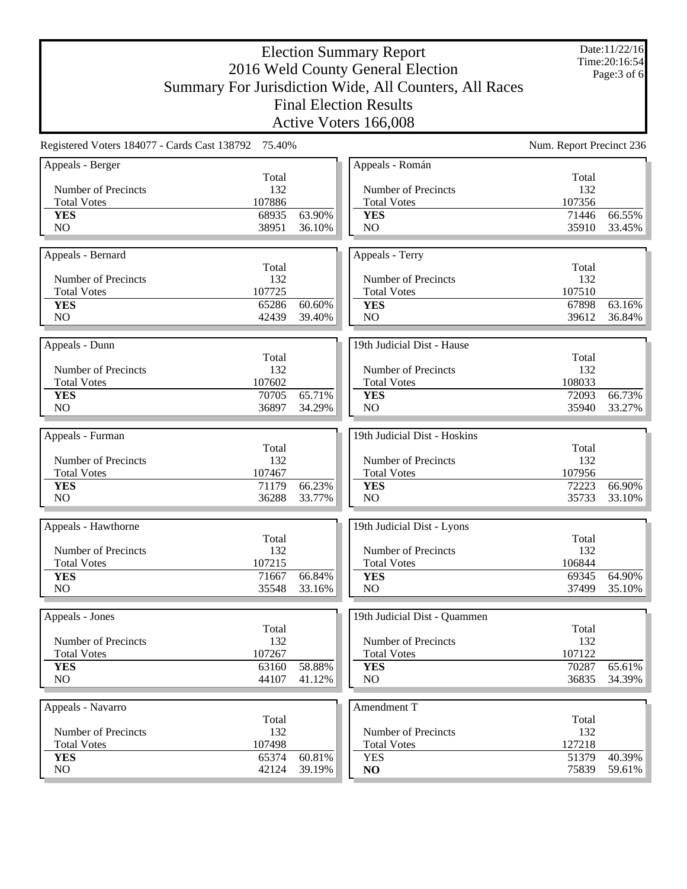Date:11/22/16 Time:20:16:54 Page:3 of 6

| Registered Voters 184077 - Cards Cast 138792 75.40%<br>Num. Report Precinct 236<br>Appeals - Román<br>Total<br>Total<br>Number of Precincts<br>132<br><b>Number of Precincts</b><br>132<br>107886<br><b>Total Votes</b><br><b>Total Votes</b><br>107356<br>68935<br>63.90%<br>71446<br>66.55%<br><b>YES</b><br><b>YES</b><br>N <sub>O</sub><br>38951<br>36.10%<br>NO<br>35910<br>33.45%<br>Appeals - Terry<br>Total<br>Total<br>Number of Precincts<br>132<br>Number of Precincts<br>132<br>107725<br>107510<br><b>Total Votes</b><br><b>Total Votes</b><br>65286<br>60.60%<br>67898<br>63.16%<br><b>YES</b><br><b>YES</b><br>N <sub>O</sub><br>42439<br>39.40%<br>N <sub>O</sub><br>39612<br>19th Judicial Dist - Hause<br>Total<br>Total<br>Number of Precincts<br>132<br>Number of Precincts<br>132<br>107602<br>108033<br><b>Total Votes</b><br><b>Total Votes</b><br>70705<br>65.71%<br>72093<br>66.73%<br><b>YES</b><br><b>YES</b><br>N <sub>O</sub><br>36897<br>34.29%<br>NO<br>35940<br>33.27%<br>19th Judicial Dist - Hoskins<br>Total<br>Total<br>132<br>Number of Precincts<br>132<br>Number of Precincts<br>107467<br>107956<br><b>Total Votes</b><br><b>Total Votes</b><br>71179<br>66.23%<br>72223<br>66.90%<br><b>YES</b><br><b>YES</b><br>N <sub>O</sub><br>36288<br>33.77%<br>N <sub>O</sub><br>35733<br>19th Judicial Dist - Lyons<br>Total<br>Total<br>Number of Precincts<br>132<br>Number of Precincts<br>132<br>107215<br>106844<br><b>Total Votes</b><br><b>Total Votes</b><br>66.84%<br>69345<br>71667<br>64.90%<br><b>YES</b><br><b>YES</b><br>N <sub>O</sub><br>35548<br>NO<br>37499<br>33.16%<br>19th Judicial Dist - Ouammen<br>Total<br>Total<br>Number of Precincts<br>132<br>Number of Precincts<br>132<br>107267<br>107122<br><b>Total Votes</b><br><b>Total Votes</b><br>58.88%<br>63160<br>70287<br>65.61%<br><b>YES</b><br><b>YES</b><br>NO.<br>44107<br>41.12%<br>NO<br>36835 |                     |  | Active Voters 166,008 |  |
|-------------------------------------------------------------------------------------------------------------------------------------------------------------------------------------------------------------------------------------------------------------------------------------------------------------------------------------------------------------------------------------------------------------------------------------------------------------------------------------------------------------------------------------------------------------------------------------------------------------------------------------------------------------------------------------------------------------------------------------------------------------------------------------------------------------------------------------------------------------------------------------------------------------------------------------------------------------------------------------------------------------------------------------------------------------------------------------------------------------------------------------------------------------------------------------------------------------------------------------------------------------------------------------------------------------------------------------------------------------------------------------------------------------------------------------------------------------------------------------------------------------------------------------------------------------------------------------------------------------------------------------------------------------------------------------------------------------------------------------------------------------------------------------------------------------------------------------------------------------------------------------------------------------------|---------------------|--|-----------------------|--|
| 36.84%                                                                                                                                                                                                                                                                                                                                                                                                                                                                                                                                                                                                                                                                                                                                                                                                                                                                                                                                                                                                                                                                                                                                                                                                                                                                                                                                                                                                                                                                                                                                                                                                                                                                                                                                                                                                                                                                                                            |                     |  |                       |  |
|                                                                                                                                                                                                                                                                                                                                                                                                                                                                                                                                                                                                                                                                                                                                                                                                                                                                                                                                                                                                                                                                                                                                                                                                                                                                                                                                                                                                                                                                                                                                                                                                                                                                                                                                                                                                                                                                                                                   | Appeals - Berger    |  |                       |  |
|                                                                                                                                                                                                                                                                                                                                                                                                                                                                                                                                                                                                                                                                                                                                                                                                                                                                                                                                                                                                                                                                                                                                                                                                                                                                                                                                                                                                                                                                                                                                                                                                                                                                                                                                                                                                                                                                                                                   |                     |  |                       |  |
|                                                                                                                                                                                                                                                                                                                                                                                                                                                                                                                                                                                                                                                                                                                                                                                                                                                                                                                                                                                                                                                                                                                                                                                                                                                                                                                                                                                                                                                                                                                                                                                                                                                                                                                                                                                                                                                                                                                   |                     |  |                       |  |
|                                                                                                                                                                                                                                                                                                                                                                                                                                                                                                                                                                                                                                                                                                                                                                                                                                                                                                                                                                                                                                                                                                                                                                                                                                                                                                                                                                                                                                                                                                                                                                                                                                                                                                                                                                                                                                                                                                                   |                     |  |                       |  |
|                                                                                                                                                                                                                                                                                                                                                                                                                                                                                                                                                                                                                                                                                                                                                                                                                                                                                                                                                                                                                                                                                                                                                                                                                                                                                                                                                                                                                                                                                                                                                                                                                                                                                                                                                                                                                                                                                                                   | Appeals - Bernard   |  |                       |  |
|                                                                                                                                                                                                                                                                                                                                                                                                                                                                                                                                                                                                                                                                                                                                                                                                                                                                                                                                                                                                                                                                                                                                                                                                                                                                                                                                                                                                                                                                                                                                                                                                                                                                                                                                                                                                                                                                                                                   |                     |  |                       |  |
|                                                                                                                                                                                                                                                                                                                                                                                                                                                                                                                                                                                                                                                                                                                                                                                                                                                                                                                                                                                                                                                                                                                                                                                                                                                                                                                                                                                                                                                                                                                                                                                                                                                                                                                                                                                                                                                                                                                   |                     |  |                       |  |
|                                                                                                                                                                                                                                                                                                                                                                                                                                                                                                                                                                                                                                                                                                                                                                                                                                                                                                                                                                                                                                                                                                                                                                                                                                                                                                                                                                                                                                                                                                                                                                                                                                                                                                                                                                                                                                                                                                                   |                     |  |                       |  |
|                                                                                                                                                                                                                                                                                                                                                                                                                                                                                                                                                                                                                                                                                                                                                                                                                                                                                                                                                                                                                                                                                                                                                                                                                                                                                                                                                                                                                                                                                                                                                                                                                                                                                                                                                                                                                                                                                                                   |                     |  |                       |  |
|                                                                                                                                                                                                                                                                                                                                                                                                                                                                                                                                                                                                                                                                                                                                                                                                                                                                                                                                                                                                                                                                                                                                                                                                                                                                                                                                                                                                                                                                                                                                                                                                                                                                                                                                                                                                                                                                                                                   |                     |  |                       |  |
| 33.10%<br>35.10%<br>34.39%                                                                                                                                                                                                                                                                                                                                                                                                                                                                                                                                                                                                                                                                                                                                                                                                                                                                                                                                                                                                                                                                                                                                                                                                                                                                                                                                                                                                                                                                                                                                                                                                                                                                                                                                                                                                                                                                                        | Appeals - Dunn      |  |                       |  |
|                                                                                                                                                                                                                                                                                                                                                                                                                                                                                                                                                                                                                                                                                                                                                                                                                                                                                                                                                                                                                                                                                                                                                                                                                                                                                                                                                                                                                                                                                                                                                                                                                                                                                                                                                                                                                                                                                                                   |                     |  |                       |  |
|                                                                                                                                                                                                                                                                                                                                                                                                                                                                                                                                                                                                                                                                                                                                                                                                                                                                                                                                                                                                                                                                                                                                                                                                                                                                                                                                                                                                                                                                                                                                                                                                                                                                                                                                                                                                                                                                                                                   |                     |  |                       |  |
|                                                                                                                                                                                                                                                                                                                                                                                                                                                                                                                                                                                                                                                                                                                                                                                                                                                                                                                                                                                                                                                                                                                                                                                                                                                                                                                                                                                                                                                                                                                                                                                                                                                                                                                                                                                                                                                                                                                   |                     |  |                       |  |
|                                                                                                                                                                                                                                                                                                                                                                                                                                                                                                                                                                                                                                                                                                                                                                                                                                                                                                                                                                                                                                                                                                                                                                                                                                                                                                                                                                                                                                                                                                                                                                                                                                                                                                                                                                                                                                                                                                                   |                     |  |                       |  |
|                                                                                                                                                                                                                                                                                                                                                                                                                                                                                                                                                                                                                                                                                                                                                                                                                                                                                                                                                                                                                                                                                                                                                                                                                                                                                                                                                                                                                                                                                                                                                                                                                                                                                                                                                                                                                                                                                                                   |                     |  |                       |  |
|                                                                                                                                                                                                                                                                                                                                                                                                                                                                                                                                                                                                                                                                                                                                                                                                                                                                                                                                                                                                                                                                                                                                                                                                                                                                                                                                                                                                                                                                                                                                                                                                                                                                                                                                                                                                                                                                                                                   | Appeals - Furman    |  |                       |  |
|                                                                                                                                                                                                                                                                                                                                                                                                                                                                                                                                                                                                                                                                                                                                                                                                                                                                                                                                                                                                                                                                                                                                                                                                                                                                                                                                                                                                                                                                                                                                                                                                                                                                                                                                                                                                                                                                                                                   |                     |  |                       |  |
|                                                                                                                                                                                                                                                                                                                                                                                                                                                                                                                                                                                                                                                                                                                                                                                                                                                                                                                                                                                                                                                                                                                                                                                                                                                                                                                                                                                                                                                                                                                                                                                                                                                                                                                                                                                                                                                                                                                   |                     |  |                       |  |
|                                                                                                                                                                                                                                                                                                                                                                                                                                                                                                                                                                                                                                                                                                                                                                                                                                                                                                                                                                                                                                                                                                                                                                                                                                                                                                                                                                                                                                                                                                                                                                                                                                                                                                                                                                                                                                                                                                                   |                     |  |                       |  |
|                                                                                                                                                                                                                                                                                                                                                                                                                                                                                                                                                                                                                                                                                                                                                                                                                                                                                                                                                                                                                                                                                                                                                                                                                                                                                                                                                                                                                                                                                                                                                                                                                                                                                                                                                                                                                                                                                                                   |                     |  |                       |  |
|                                                                                                                                                                                                                                                                                                                                                                                                                                                                                                                                                                                                                                                                                                                                                                                                                                                                                                                                                                                                                                                                                                                                                                                                                                                                                                                                                                                                                                                                                                                                                                                                                                                                                                                                                                                                                                                                                                                   |                     |  |                       |  |
|                                                                                                                                                                                                                                                                                                                                                                                                                                                                                                                                                                                                                                                                                                                                                                                                                                                                                                                                                                                                                                                                                                                                                                                                                                                                                                                                                                                                                                                                                                                                                                                                                                                                                                                                                                                                                                                                                                                   | Appeals - Hawthorne |  |                       |  |
|                                                                                                                                                                                                                                                                                                                                                                                                                                                                                                                                                                                                                                                                                                                                                                                                                                                                                                                                                                                                                                                                                                                                                                                                                                                                                                                                                                                                                                                                                                                                                                                                                                                                                                                                                                                                                                                                                                                   |                     |  |                       |  |
|                                                                                                                                                                                                                                                                                                                                                                                                                                                                                                                                                                                                                                                                                                                                                                                                                                                                                                                                                                                                                                                                                                                                                                                                                                                                                                                                                                                                                                                                                                                                                                                                                                                                                                                                                                                                                                                                                                                   |                     |  |                       |  |
|                                                                                                                                                                                                                                                                                                                                                                                                                                                                                                                                                                                                                                                                                                                                                                                                                                                                                                                                                                                                                                                                                                                                                                                                                                                                                                                                                                                                                                                                                                                                                                                                                                                                                                                                                                                                                                                                                                                   |                     |  |                       |  |
|                                                                                                                                                                                                                                                                                                                                                                                                                                                                                                                                                                                                                                                                                                                                                                                                                                                                                                                                                                                                                                                                                                                                                                                                                                                                                                                                                                                                                                                                                                                                                                                                                                                                                                                                                                                                                                                                                                                   |                     |  |                       |  |
|                                                                                                                                                                                                                                                                                                                                                                                                                                                                                                                                                                                                                                                                                                                                                                                                                                                                                                                                                                                                                                                                                                                                                                                                                                                                                                                                                                                                                                                                                                                                                                                                                                                                                                                                                                                                                                                                                                                   |                     |  |                       |  |
|                                                                                                                                                                                                                                                                                                                                                                                                                                                                                                                                                                                                                                                                                                                                                                                                                                                                                                                                                                                                                                                                                                                                                                                                                                                                                                                                                                                                                                                                                                                                                                                                                                                                                                                                                                                                                                                                                                                   | Appeals - Jones     |  |                       |  |
|                                                                                                                                                                                                                                                                                                                                                                                                                                                                                                                                                                                                                                                                                                                                                                                                                                                                                                                                                                                                                                                                                                                                                                                                                                                                                                                                                                                                                                                                                                                                                                                                                                                                                                                                                                                                                                                                                                                   |                     |  |                       |  |
|                                                                                                                                                                                                                                                                                                                                                                                                                                                                                                                                                                                                                                                                                                                                                                                                                                                                                                                                                                                                                                                                                                                                                                                                                                                                                                                                                                                                                                                                                                                                                                                                                                                                                                                                                                                                                                                                                                                   |                     |  |                       |  |
|                                                                                                                                                                                                                                                                                                                                                                                                                                                                                                                                                                                                                                                                                                                                                                                                                                                                                                                                                                                                                                                                                                                                                                                                                                                                                                                                                                                                                                                                                                                                                                                                                                                                                                                                                                                                                                                                                                                   |                     |  |                       |  |
|                                                                                                                                                                                                                                                                                                                                                                                                                                                                                                                                                                                                                                                                                                                                                                                                                                                                                                                                                                                                                                                                                                                                                                                                                                                                                                                                                                                                                                                                                                                                                                                                                                                                                                                                                                                                                                                                                                                   |                     |  |                       |  |
|                                                                                                                                                                                                                                                                                                                                                                                                                                                                                                                                                                                                                                                                                                                                                                                                                                                                                                                                                                                                                                                                                                                                                                                                                                                                                                                                                                                                                                                                                                                                                                                                                                                                                                                                                                                                                                                                                                                   |                     |  |                       |  |
|                                                                                                                                                                                                                                                                                                                                                                                                                                                                                                                                                                                                                                                                                                                                                                                                                                                                                                                                                                                                                                                                                                                                                                                                                                                                                                                                                                                                                                                                                                                                                                                                                                                                                                                                                                                                                                                                                                                   | Appeals - Navarro   |  | Amendment T           |  |
| Total<br>Total                                                                                                                                                                                                                                                                                                                                                                                                                                                                                                                                                                                                                                                                                                                                                                                                                                                                                                                                                                                                                                                                                                                                                                                                                                                                                                                                                                                                                                                                                                                                                                                                                                                                                                                                                                                                                                                                                                    |                     |  |                       |  |
| Number of Precincts<br>132<br>Number of Precincts<br>132                                                                                                                                                                                                                                                                                                                                                                                                                                                                                                                                                                                                                                                                                                                                                                                                                                                                                                                                                                                                                                                                                                                                                                                                                                                                                                                                                                                                                                                                                                                                                                                                                                                                                                                                                                                                                                                          |                     |  |                       |  |
| 127218<br><b>Total Votes</b><br>107498<br><b>Total Votes</b>                                                                                                                                                                                                                                                                                                                                                                                                                                                                                                                                                                                                                                                                                                                                                                                                                                                                                                                                                                                                                                                                                                                                                                                                                                                                                                                                                                                                                                                                                                                                                                                                                                                                                                                                                                                                                                                      |                     |  |                       |  |
| 60.81%<br>65374<br>51379<br>40.39%<br><b>YES</b><br><b>YES</b>                                                                                                                                                                                                                                                                                                                                                                                                                                                                                                                                                                                                                                                                                                                                                                                                                                                                                                                                                                                                                                                                                                                                                                                                                                                                                                                                                                                                                                                                                                                                                                                                                                                                                                                                                                                                                                                    |                     |  |                       |  |
| NO.<br>42124<br>39.19%<br>75839<br>59.61%<br>N <sub>O</sub>                                                                                                                                                                                                                                                                                                                                                                                                                                                                                                                                                                                                                                                                                                                                                                                                                                                                                                                                                                                                                                                                                                                                                                                                                                                                                                                                                                                                                                                                                                                                                                                                                                                                                                                                                                                                                                                       |                     |  |                       |  |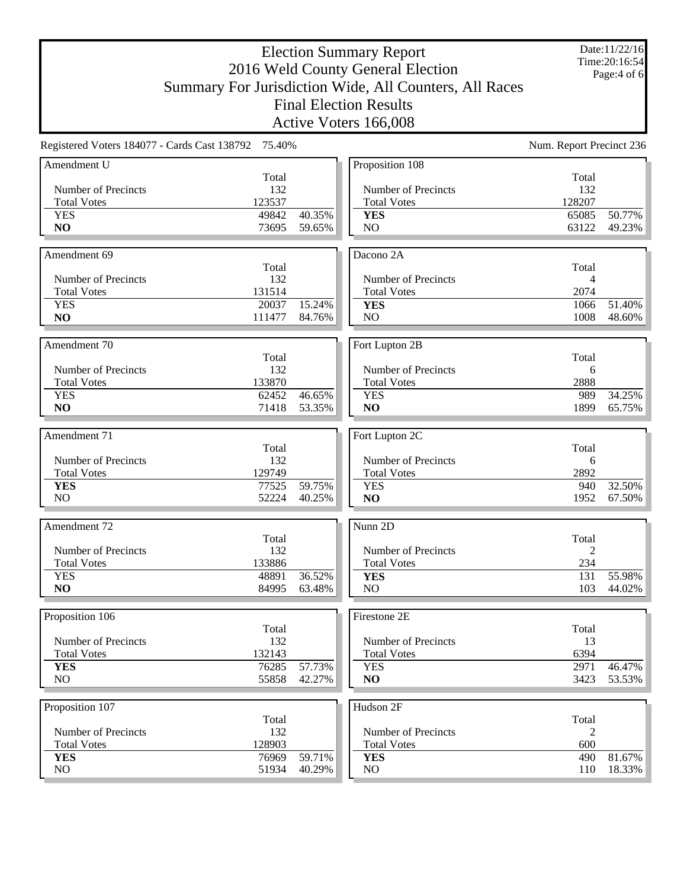Date:11/22/16 Time:20:16:54 Page:4 of 6

|                                                     |                |                  | Active Voters 166,008 |                          |                  |
|-----------------------------------------------------|----------------|------------------|-----------------------|--------------------------|------------------|
| Registered Voters 184077 - Cards Cast 138792 75.40% |                |                  |                       | Num. Report Precinct 236 |                  |
| Amendment U                                         |                |                  | Proposition 108       |                          |                  |
|                                                     | Total          |                  |                       | Total                    |                  |
| Number of Precincts                                 | 132            |                  | Number of Precincts   | 132                      |                  |
| <b>Total Votes</b>                                  | 123537         |                  | <b>Total Votes</b>    | 128207                   |                  |
| <b>YES</b>                                          | 49842          | 40.35%           | <b>YES</b>            | 65085                    | 50.77%           |
| NO                                                  | 73695          | 59.65%           | N <sub>O</sub>        | 63122                    | 49.23%           |
| Amendment 69                                        |                |                  | Dacono 2A             |                          |                  |
|                                                     | Total          |                  |                       | Total                    |                  |
| Number of Precincts                                 | 132            |                  | Number of Precincts   | 4                        |                  |
| <b>Total Votes</b>                                  | 131514         |                  | <b>Total Votes</b>    | 2074                     |                  |
| <b>YES</b>                                          | 20037          | 15.24%           | <b>YES</b>            | 1066                     | 51.40%           |
| NO                                                  | 111477         | 84.76%           | NO                    | 1008                     | 48.60%           |
| Amendment 70                                        |                |                  | Fort Lupton 2B        |                          |                  |
|                                                     | Total          |                  |                       | Total                    |                  |
| Number of Precincts                                 | 132            |                  | Number of Precincts   | 6                        |                  |
| <b>Total Votes</b>                                  | 133870         |                  | <b>Total Votes</b>    | 2888                     |                  |
| <b>YES</b>                                          | 62452          | 46.65%           | <b>YES</b>            | 989                      | 34.25%           |
| NO                                                  | 71418          | 53.35%           | NO                    | 1899                     | 65.75%           |
|                                                     |                |                  |                       |                          |                  |
| Amendment 71                                        |                |                  | Fort Lupton 2C        |                          |                  |
|                                                     | Total          |                  |                       | Total                    |                  |
| Number of Precincts                                 | 132            |                  | Number of Precincts   | 6                        |                  |
| <b>Total Votes</b>                                  | 129749         |                  | <b>Total Votes</b>    | 2892                     |                  |
| <b>YES</b>                                          | 77525          | 59.75%           | <b>YES</b>            | 940                      | 32.50%           |
| N <sub>O</sub>                                      | 52224          | 40.25%           | NO                    | 1952                     | 67.50%           |
| Amendment 72                                        |                |                  | Nunn 2D               |                          |                  |
|                                                     | Total          |                  |                       | Total                    |                  |
| Number of Precincts                                 | 132            |                  | Number of Precincts   | $\overline{2}$           |                  |
| <b>Total Votes</b>                                  | 133886         |                  | <b>Total Votes</b>    | 234                      |                  |
| <b>YES</b>                                          | 48891          | 36.52%           | <b>YES</b>            | 131                      | 55.98%           |
| NO                                                  | 84995          | 63.48%           | N <sub>O</sub>        | 103                      | 44.02%           |
|                                                     |                |                  |                       |                          |                  |
| Proposition 106                                     |                |                  | Firestone 2E          |                          |                  |
|                                                     | Total          |                  |                       | Total                    |                  |
| Number of Precincts                                 | 132            |                  | Number of Precincts   | 13                       |                  |
| <b>Total Votes</b>                                  | 132143         |                  | <b>Total Votes</b>    | 6394                     |                  |
| <b>YES</b><br>NO.                                   | 76285<br>55858 | 57.73%<br>42.27% | <b>YES</b><br>NO      | 2971<br>3423             | 46.47%<br>53.53% |
|                                                     |                |                  |                       |                          |                  |
| Proposition 107                                     |                |                  | Hudson 2F             |                          |                  |
|                                                     | Total          |                  |                       | Total                    |                  |
| Number of Precincts                                 | 132            |                  | Number of Precincts   | 2                        |                  |
| <b>Total Votes</b>                                  | 128903         |                  | <b>Total Votes</b>    | 600                      |                  |
| <b>YES</b>                                          | 76969          | 59.71%           | <b>YES</b>            | 490                      | 81.67%           |
| NO.                                                 | 51934          | 40.29%           | NO                    | 110                      | 18.33%           |
|                                                     |                |                  |                       |                          |                  |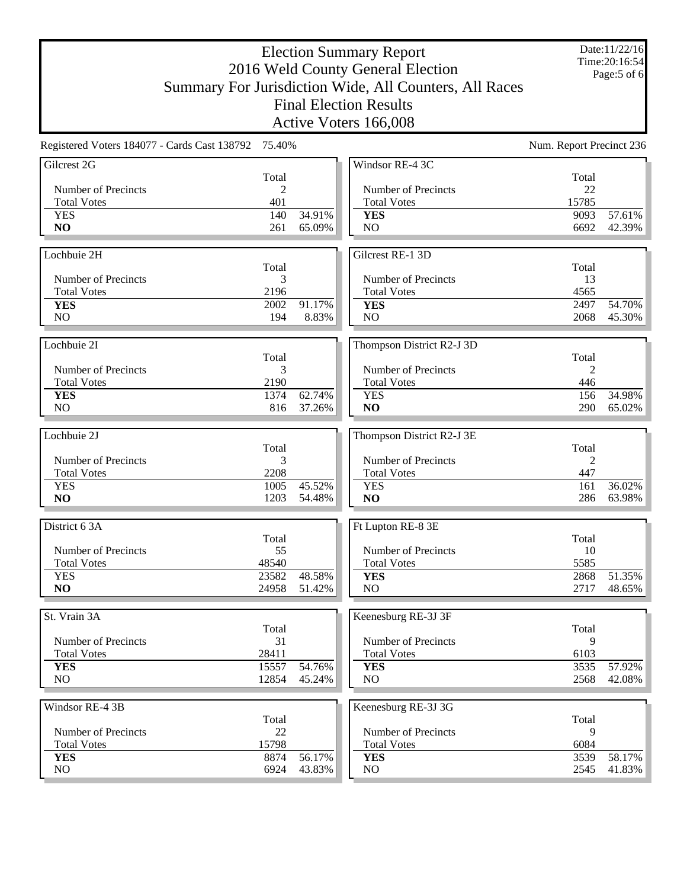Date:11/22/16 Time:20:16:54 Page:5 of 6

|                                                     |                |                  | Active Voters 166,008        |                          |                  |
|-----------------------------------------------------|----------------|------------------|------------------------------|--------------------------|------------------|
| Registered Voters 184077 - Cards Cast 138792 75.40% |                |                  |                              | Num. Report Precinct 236 |                  |
| Gilcrest 2G                                         |                |                  | Windsor RE-4 3C              |                          |                  |
|                                                     | Total          |                  |                              | Total                    |                  |
| Number of Precincts                                 | $\overline{2}$ |                  | Number of Precincts          | 22                       |                  |
| <b>Total Votes</b>                                  | 401            |                  | <b>Total Votes</b>           | 15785                    |                  |
| <b>YES</b><br>N <sub>O</sub>                        | 140<br>261     | 34.91%<br>65.09% | <b>YES</b><br>N <sub>O</sub> | 9093<br>6692             | 57.61%<br>42.39% |
|                                                     |                |                  |                              |                          |                  |
| Lochbuie 2H                                         |                |                  | Gilcrest RE-1 3D             |                          |                  |
|                                                     | Total          |                  |                              | Total                    |                  |
| Number of Precincts                                 | 3              |                  | Number of Precincts          | 13                       |                  |
| <b>Total Votes</b>                                  | 2196           |                  | <b>Total Votes</b>           | 4565                     |                  |
| <b>YES</b>                                          | 2002           | 91.17%           | <b>YES</b>                   | 2497                     | 54.70%           |
| NO                                                  | 194            | 8.83%            | NO                           | 2068                     | 45.30%           |
|                                                     |                |                  |                              |                          |                  |
| Lochbuie 2I                                         |                |                  | Thompson District R2-J 3D    |                          |                  |
|                                                     | Total          |                  |                              | Total                    |                  |
| Number of Precincts                                 | 3              |                  | Number of Precincts          | 2                        |                  |
| <b>Total Votes</b>                                  | 2190           |                  | <b>Total Votes</b>           | 446                      |                  |
| <b>YES</b>                                          | 1374           | 62.74%           | <b>YES</b>                   | 156                      | 34.98%           |
| NO                                                  | 816            | 37.26%           | NO                           | 290                      | 65.02%           |
|                                                     |                |                  |                              |                          |                  |
| Lochbuie 2J                                         | Total          |                  | Thompson District R2-J 3E    | Total                    |                  |
| Number of Precincts                                 | 3              |                  | Number of Precincts          | 2                        |                  |
| <b>Total Votes</b>                                  | 2208           |                  | <b>Total Votes</b>           | 447                      |                  |
| <b>YES</b>                                          | 1005           | 45.52%           | <b>YES</b>                   | 161                      | 36.02%           |
| NO                                                  | 1203           | 54.48%           | NO                           | 286                      | 63.98%           |
|                                                     |                |                  |                              |                          |                  |
| District 6 3A                                       |                |                  | Ft Lupton RE-8 3E            |                          |                  |
|                                                     | Total          |                  |                              | Total                    |                  |
| Number of Precincts                                 | 55             |                  | Number of Precincts          | 10                       |                  |
| <b>Total Votes</b>                                  | 48540          |                  | <b>Total Votes</b>           | 5585                     |                  |
| <b>YES</b>                                          | 23582          | 48.58%           | <b>YES</b>                   | 2868                     | 51.35%           |
| N <sub>O</sub>                                      | 24958          | 51.42%           | N <sub>O</sub>               | 2717                     | 48.65%           |
|                                                     |                |                  |                              |                          |                  |
| St. Vrain 3A                                        | Total          |                  | Keenesburg RE-3J 3F          | Total                    |                  |
| Number of Precincts                                 | 31             |                  | Number of Precincts          | 9                        |                  |
| <b>Total Votes</b>                                  | 28411          |                  | <b>Total Votes</b>           | 6103                     |                  |
| <b>YES</b>                                          | 15557          | 54.76%           | <b>YES</b>                   | 3535                     | 57.92%           |
| NO                                                  | 12854          | 45.24%           | NO                           | 2568                     | 42.08%           |
|                                                     |                |                  |                              |                          |                  |
| Windsor RE-4 3B                                     |                |                  | Keenesburg RE-3J 3G          |                          |                  |
|                                                     | Total          |                  |                              | Total                    |                  |
| Number of Precincts                                 | 22             |                  | Number of Precincts          | 9                        |                  |
| <b>Total Votes</b>                                  | 15798          |                  | <b>Total Votes</b>           | 6084                     |                  |
| <b>YES</b>                                          | 8874           | 56.17%           | <b>YES</b>                   | 3539                     | 58.17%           |
| NO                                                  | 6924           | 43.83%           | N <sub>O</sub>               | 2545                     | 41.83%           |
|                                                     |                |                  |                              |                          |                  |